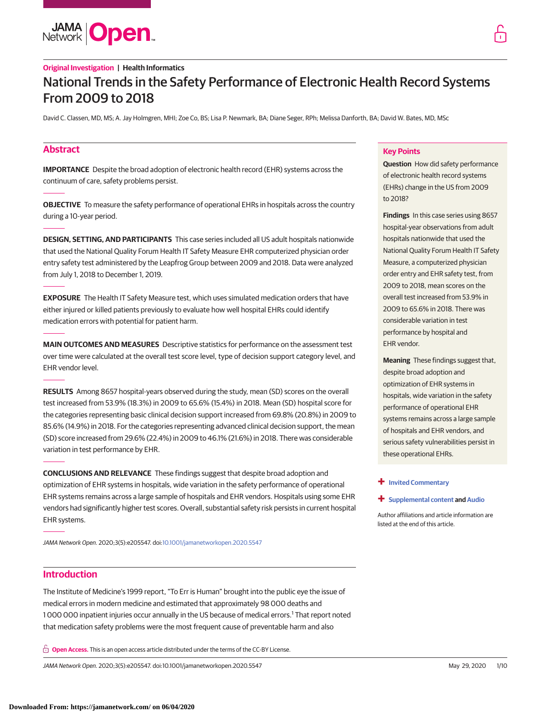

# **Original Investigation | Health Informatics** National Trends in the Safety Performance of Electronic Health Record Systems From 2009 to 2018

David C. Classen, MD, MS; A. Jay Holmgren, MHI; Zoe Co, BS; Lisa P. Newmark, BA; Diane Seger, RPh; Melissa Danforth, BA; David W. Bates, MD, MSc

# **Abstract**

**IMPORTANCE** Despite the broad adoption of electronic health record (EHR) systems across the continuum of care, safety problems persist.

**OBJECTIVE** To measure the safety performance of operational EHRs in hospitals across the country during a 10-year period.

**DESIGN, SETTING, AND PARTICIPANTS** This case series included all US adult hospitals nationwide that used the National Quality Forum Health IT Safety Measure EHR computerized physician order entry safety test administered by the Leapfrog Group between 2009 and 2018. Data were analyzed from July 1, 2018 to December 1, 2019.

**EXPOSURE** The Health IT Safety Measure test, which uses simulated medication orders that have either injured or killed patients previously to evaluate how well hospital EHRs could identify medication errors with potential for patient harm.

**MAIN OUTCOMES AND MEASURES** Descriptive statistics for performance on the assessment test over time were calculated at the overall test score level, type of decision support category level, and EHR vendor level.

**RESULTS** Among 8657 hospital-years observed during the study, mean (SD) scores on the overall test increased from 53.9% (18.3%) in 2009 to 65.6% (15.4%) in 2018. Mean (SD) hospital score for the categories representing basic clinical decision support increased from 69.8% (20.8%) in 2009 to 85.6% (14.9%) in 2018. For the categories representing advanced clinical decision support, the mean (SD) score increased from 29.6% (22.4%) in 2009 to 46.1% (21.6%) in 2018. There was considerable variation in test performance by EHR.

**CONCLUSIONS AND RELEVANCE** These findings suggest that despite broad adoption and optimization of EHR systems in hospitals, wide variation in the safety performance of operational EHR systems remains across a large sample of hospitals and EHR vendors. Hospitals using some EHR vendors had significantly higher test scores. Overall, substantial safety risk persists in current hospital EHR systems.

JAMA Network Open. 2020;3(5):e205547. doi[:10.1001/jamanetworkopen.2020.5547](https://jama.jamanetwork.com/article.aspx?doi=10.1001/jamanetworkopen.2020.5547&utm_campaign=articlePDF%26utm_medium=articlePDFlink%26utm_source=articlePDF%26utm_content=jamanetworkopen.2020.5547)

# **Introduction**

The Institute of Medicine's 1999 report, "To Err is Human" brought into the public eye the issue of medical errors in modern medicine and estimated that approximately 98 000 deaths and 1000 000 inpatient injuries occur annually in the US because of medical errors.<sup>1</sup> That report noted that medication safety problems were the most frequent cause of preventable harm and also

**Open Access.** This is an open access article distributed under the terms of the CC-BY License.

JAMA Network Open. 2020;3(5):e205547. doi:10.1001/jamanetworkopen.2020.5547 (Reprinted) May 29, 2020 1/10

### **Key Points**

**Question** How did safety performance of electronic health record systems (EHRs) change in the US from 2009 to 2018?

**Findings** In this case series using 8657 hospital-year observations from adult hospitals nationwide that used the National Quality Forum Health IT Safety Measure, a computerized physician order entry and EHR safety test, from 2009 to 2018, mean scores on the overall test increased from 53.9% in 2009 to 65.6% in 2018. There was considerable variation in test performance by hospital and EHR vendor.

**Meaning** These findings suggest that, despite broad adoption and optimization of EHR systems in hospitals, wide variation in the safety performance of operational EHR systems remains across a large sample of hospitals and EHR vendors, and serious safety vulnerabilities persist in these operational EHRs.

#### **+ [Invited Commentary](https://jama.jamanetwork.com/article.aspx?doi=10.1001/jamanetworkopen.2020.6665&utm_campaign=articlePDF%26utm_medium=articlePDFlink%26utm_source=articlePDF%26utm_content=jamanetworkopen.2020.5547)**

#### **+ [Supplemental content](https://jama.jamanetwork.com/article.aspx?doi=10.1001/jamanetworkopen.2020.5547&utm_campaign=articlePDF%26utm_medium=articlePDFlink%26utm_source=articlePDF%26utm_content=jamanetworkopen.2020.5547) and [Audio](https://jama.jamanetwork.com/article.aspx?doi=10.1001/jamanetworkopen.2020.5547&utm_campaign=articlePDF%26utm_medium=articlePDFlink%26utm_source=articlePDF%26utm_content=jamanetworkopen.2020.5547)**

Author affiliations and article information are listed at the end of this article.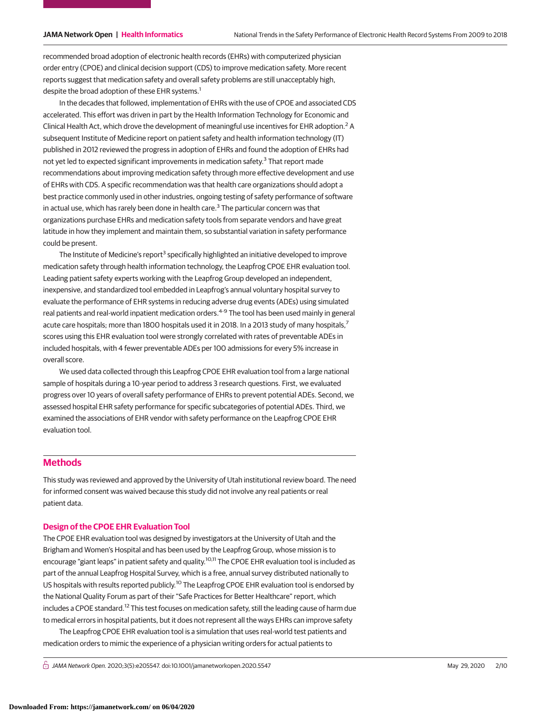recommended broad adoption of electronic health records (EHRs) with computerized physician order entry (CPOE) and clinical decision support (CDS) to improve medication safety. More recent reports suggest that medication safety and overall safety problems are still unacceptably high, despite the broad adoption of these EHR systems.<sup>1</sup>

In the decades that followed, implementation of EHRs with the use of CPOE and associated CDS accelerated. This effort was driven in part by the Health Information Technology for Economic and Clinical Health Act, which drove the development of meaningful use incentives for EHR adoption.<sup>2</sup> A subsequent Institute of Medicine report on patient safety and health information technology (IT) published in 2012 reviewed the progress in adoption of EHRs and found the adoption of EHRs had not yet led to expected significant improvements in medication safety.<sup>3</sup> That report made recommendations about improving medication safety through more effective development and use of EHRs with CDS. A specific recommendation was that health care organizations should adopt a best practice commonly used in other industries, ongoing testing of safety performance of software in actual use, which has rarely been done in health care. $3$  The particular concern was that organizations purchase EHRs and medication safety tools from separate vendors and have great latitude in how they implement and maintain them, so substantial variation in safety performance could be present.

The Institute of Medicine's report<sup>3</sup> specifically highlighted an initiative developed to improve medication safety through health information technology, the Leapfrog CPOE EHR evaluation tool. Leading patient safety experts working with the Leapfrog Group developed an independent, inexpensive, and standardized tool embedded in Leapfrog's annual voluntary hospital survey to evaluate the performance of EHR systems in reducing adverse drug events (ADEs) using simulated real patients and real-world inpatient medication orders.<sup>4-9</sup> The tool has been used mainly in general acute care hospitals; more than 1800 hospitals used it in 2018. In a 2013 study of many hospitals,<sup>7</sup> scores using this EHR evaluation tool were strongly correlated with rates of preventable ADEs in included hospitals, with 4 fewer preventable ADEs per 100 admissions for every 5% increase in overall score.

We used data collected through this Leapfrog CPOE EHR evaluation tool from a large national sample of hospitals during a 10-year period to address 3 research questions. First, we evaluated progress over 10 years of overall safety performance of EHRs to prevent potential ADEs. Second, we assessed hospital EHR safety performance for specific subcategories of potential ADEs. Third, we examined the associations of EHR vendor with safety performance on the Leapfrog CPOE EHR evaluation tool.

# **Methods**

This study was reviewed and approved by the University of Utah institutional review board. The need for informed consent was waived because this study did not involve any real patients or real patient data.

#### **Design of the CPOE EHR Evaluation Tool**

The CPOE EHR evaluation tool was designed by investigators at the University of Utah and the Brigham and Women's Hospital and has been used by the Leapfrog Group, whose mission is to encourage "giant leaps" in patient safety and quality.<sup>10,11</sup> The CPOE EHR evaluation tool is included as part of the annual Leapfrog Hospital Survey, which is a free, annual survey distributed nationally to US hospitals with results reported publicly.<sup>10</sup> The Leapfrog CPOE EHR evaluation tool is endorsed by the National Quality Forum as part of their "Safe Practices for Better Healthcare" report, which includes a CPOE standard.<sup>12</sup> This test focuses on medication safety, still the leading cause of harm due to medical errors in hospital patients, but it does not represent all the ways EHRs can improve safety

The Leapfrog CPOE EHR evaluation tool is a simulation that uses real-world test patients and medication orders to mimic the experience of a physician writing orders for actual patients to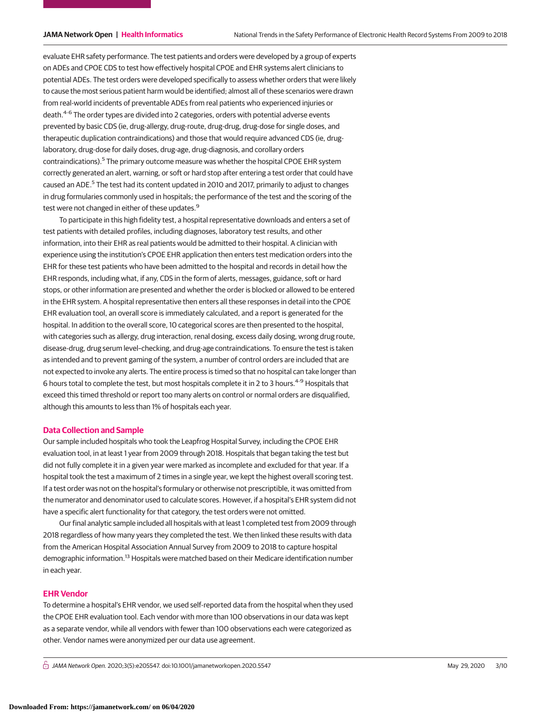evaluate EHR safety performance. The test patients and orders were developed by a group of experts on ADEs and CPOE CDS to test how effectively hospital CPOE and EHR systems alert clinicians to potential ADEs. The test orders were developed specifically to assess whether orders that were likely to cause the most serious patient harm would be identified; almost all of these scenarios were drawn from real-world incidents of preventable ADEs from real patients who experienced injuries or death.4-6 The order types are divided into 2 categories, orders with potential adverse events prevented by basic CDS (ie, drug-allergy, drug-route, drug-drug, drug-dose for single doses, and therapeutic duplication contraindications) and those that would require advanced CDS (ie, druglaboratory, drug-dose for daily doses, drug-age, drug-diagnosis, and corollary orders contraindications).<sup>5</sup> The primary outcome measure was whether the hospital CPOE EHR system correctly generated an alert, warning, or soft or hard stop after entering a test order that could have caused an ADE.<sup>5</sup> The test had its content updated in 2010 and 2017, primarily to adjust to changes in drug formularies commonly used in hospitals; the performance of the test and the scoring of the test were not changed in either of these updates.<sup>9</sup>

To participate in this high fidelity test, a hospital representative downloads and enters a set of test patients with detailed profiles, including diagnoses, laboratory test results, and other information, into their EHR as real patients would be admitted to their hospital. A clinician with experience using the institution's CPOE EHR application then enters test medication orders into the EHR for these test patients who have been admitted to the hospital and records in detail how the EHR responds, including what, if any, CDS in the form of alerts, messages, guidance, soft or hard stops, or other information are presented and whether the order is blocked or allowed to be entered in the EHR system. A hospital representative then enters all these responses in detail into the CPOE EHR evaluation tool, an overall score is immediately calculated, and a report is generated for the hospital. In addition to the overall score, 10 categorical scores are then presented to the hospital, with categories such as allergy, drug interaction, renal dosing, excess daily dosing, wrong drug route, disease-drug, drug serum level–checking, and drug-age contraindications. To ensure the test is taken as intended and to prevent gaming of the system, a number of control orders are included that are not expected to invoke any alerts. The entire process is timed so that no hospital can take longer than 6 hours total to complete the test, but most hospitals complete it in 2 to 3 hours.4-9 Hospitals that exceed this timed threshold or report too many alerts on control or normal orders are disqualified, although this amounts to less than 1% of hospitals each year.

# **Data Collection and Sample**

Our sample included hospitals who took the Leapfrog Hospital Survey, including the CPOE EHR evaluation tool, in at least 1 year from 2009 through 2018. Hospitals that began taking the test but did not fully complete it in a given year were marked as incomplete and excluded for that year. If a hospital took the test a maximum of 2 times in a single year, we kept the highest overall scoring test. If a test order was not on the hospital's formulary or otherwise not prescriptible, it was omitted from the numerator and denominator used to calculate scores. However, if a hospital's EHR system did not have a specific alert functionality for that category, the test orders were not omitted.

Our final analytic sample included all hospitals with at least 1 completed test from 2009 through 2018 regardless of how many years they completed the test. We then linked these results with data from the American Hospital Association Annual Survey from 2009 to 2018 to capture hospital demographic information.<sup>13</sup> Hospitals were matched based on their Medicare identification number in each year.

#### **EHR Vendor**

To determine a hospital's EHR vendor, we used self-reported data from the hospital when they used the CPOE EHR evaluation tool. Each vendor with more than 100 observations in our data was kept as a separate vendor, while all vendors with fewer than 100 observations each were categorized as other. Vendor names were anonymized per our data use agreement.

 $\bigcap$  JAMA Network Open. 2020;3(5):e205547. doi:10.1001/jamanetworkopen.2020.5547 (Reprinted) May 29, 2020 3/10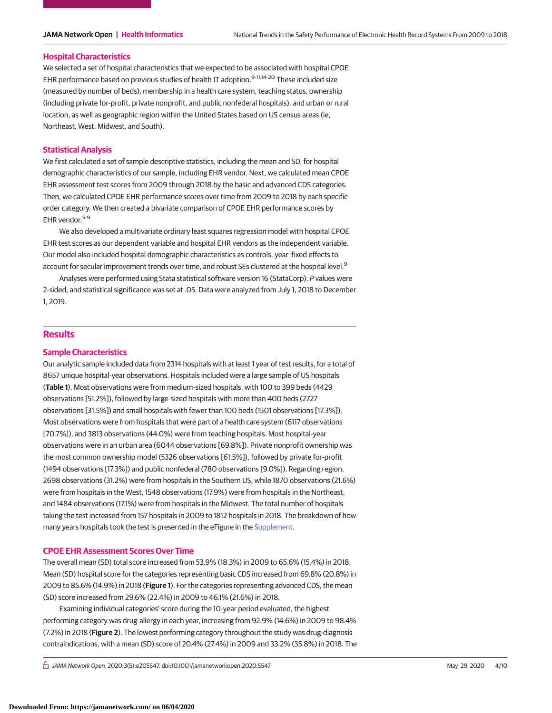#### **Hospital Characteristics**

We selected a set of hospital characteristics that we expected to be associated with hospital CPOE EHR performance based on previous studies of health IT adoption.<sup>9-11,14-20</sup> These included size (measured by number of beds), membership in a health care system, teaching status, ownership (including private for-profit, private nonprofit, and public nonfederal hospitals), and urban or rural location, as well as geographic region within the United States based on US census areas (ie, Northeast, West, Midwest, and South).

### **Statistical Analysis**

We first calculated a set of sample descriptive statistics, including the mean and SD, for hospital demographic characteristics of our sample, including EHR vendor. Next, we calculated mean CPOE EHR assessment test scores from 2009 through 2018 by the basic and advanced CDS categories. Then, we calculated CPOE EHR performance scores over time from 2009 to 2018 by each specific order category. We then created a bivariate comparison of CPOE EHR performance scores by EHR vendor.<sup>5-9</sup>

We also developed a multivariate ordinary least squares regression model with hospital CPOE EHR test scores as our dependent variable and hospital EHR vendors as the independent variable. Our model also included hospital demographic characteristics as controls, year–fixed effects to account for secular improvement trends over time, and robust SEs clustered at the hospital level.<sup>9</sup>

Analyses were performed using Stata statistical software version 16 (StataCorp). P values were 2-sided, and statistical significance was set at .05. Data were analyzed from July 1, 2018 to December 1, 2019.

# **Results**

# **Sample Characteristics**

Our analytic sample included data from 2314 hospitals with at least 1 year of test results, for a total of 8657 unique hospital-year observations. Hospitals included were a large sample of US hospitals (**Table 1**). Most observations were from medium-sized hospitals, with 100 to 399 beds (4429 observations [51.2%]), followed by large-sized hospitals with more than 400 beds (2727 observations [31.5%]) and small hospitals with fewer than 100 beds (1501 observations [17.3%]). Most observations were from hospitals that were part of a health care system (6117 observations [70.7%]), and 3813 observations (44.0%) were from teaching hospitals. Most hospital-year observations were in an urban area (6044 observations [69.8%]). Private nonprofit ownership was the most common ownership model (5326 observations [61.5%]), followed by private for-profit (1494 observations [17.3%]) and public nonfederal (780 observations [9.0%]). Regarding region, 2698 observations (31.2%) were from hospitals in the Southern US, while 1870 observations (21.6%) were from hospitals in the West, 1548 observations (17.9%) were from hospitals in the Northeast, and 1484 observations (17.1%) were from hospitals in the Midwest. The total number of hospitals taking the test increased from 157 hospitals in 2009 to 1812 hospitals in 2018. The breakdown of how many years hospitals took the test is presented in the eFigure in the [Supplement.](https://jama.jamanetwork.com/article.aspx?doi=10.1001/jamanetworkopen.2020.5547&utm_campaign=articlePDF%26utm_medium=articlePDFlink%26utm_source=articlePDF%26utm_content=jamanetworkopen.2020.5547)

### **CPOE EHR Assessment Scores Over Time**

The overall mean (SD) total score increased from 53.9% (18.3%) in 2009 to 65.6% (15.4%) in 2018. Mean (SD) hospital score for the categories representing basic CDS increased from 69.8% (20.8%) in 2009 to 85.6% (14.9%) in 2018 (**Figure 1**). For the categories representing advanced CDS, the mean (SD) score increased from 29.6% (22.4%) in 2009 to 46.1% (21.6%) in 2018.

Examining individual categories' score during the 10-year period evaluated, the highest performing category was drug-allergy in each year, increasing from 92.9% (14.6%) in 2009 to 98.4% (7.2%) in 2018 (**Figure 2**). The lowest performing category throughout the study was drug-diagnosis contraindications, with a mean (SD) score of 20.4% (27.4%) in 2009 and 33.2% (35.8%) in 2018. The

 $\bigcap$  JAMA Network Open. 2020;3(5):e205547. doi:10.1001/jamanetworkopen.2020.5547 (Reprinted) May 29, 2020 4/10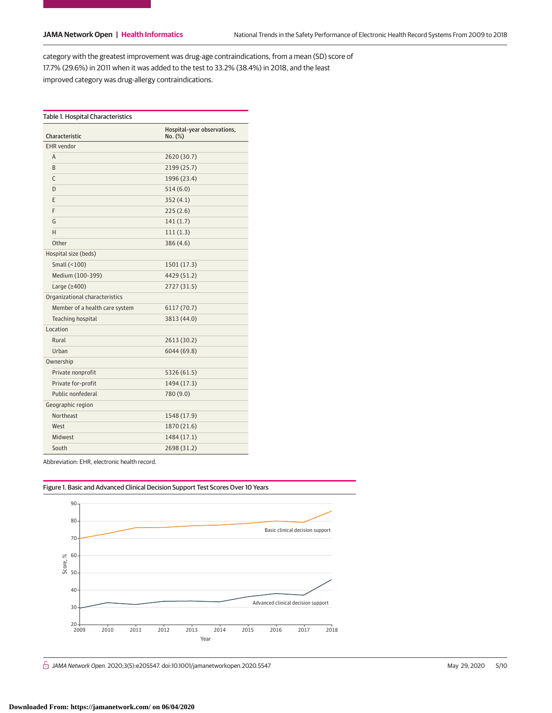category with the greatest improvement was drug-age contraindications, from a mean (SD) score of 17.7% (29.6%) in 2011 when it was added to the test to 33.2% (38.4%) in 2018, and the least improved category was drug-allergy contraindications.

| Table 1. Hospital Characteristics |                                        |
|-----------------------------------|----------------------------------------|
| Characteristic                    | Hospital-year observations,<br>No. (%) |
| <b>EHR</b> vendor                 |                                        |
| A                                 | 2620 (30.7)                            |
| B                                 | 2199 (25.7)                            |
| C                                 | 1996 (23.4)                            |
| D                                 | 514(6.0)                               |
| E                                 | 352(4.1)                               |
| F                                 | 225(2.6)                               |
| G                                 | 141(1.7)                               |
| H                                 | 111(1.3)                               |
| Other                             | 386 (4.6)                              |
| Hospital size (beds)              |                                        |
| Small (<100)                      | 1501 (17.3)                            |
| Medium (100-399)                  | 4429 (51.2)                            |
| Large $(≥400)$                    | 2727 (31.5)                            |
| Organizational characteristics    |                                        |
| Member of a health care system    | 6117 (70.7)                            |
| Teaching hospital                 | 3813 (44.0)                            |
| Location                          |                                        |
| Rural                             | 2613 (30.2)                            |
| Urban                             | 6044 (69.8)                            |
| Ownership                         |                                        |
| Private nonprofit                 | 5326 (61.5)                            |
| Private for-profit                | 1494 (17.3)                            |
| Public nonfederal                 | 780 (9.0)                              |
| Geographic region                 |                                        |
| Northeast                         | 1548 (17.9)                            |
| West                              | 1870 (21.6)                            |
| Midwest                           | 1484 (17.1)                            |
| South                             | 2698 (31.2)                            |

Abbreviation: EHR, electronic health record.



Figure 1. Basic and Advanced Clinical Decision Support Test Scores Over 10 Years

 $\hat{\Box}$  JAMA Network Open. 2020;3(5):e205547. doi:10.1001/jamanetworkopen.2020.5547 (Reprinted) May 29, 2020 5/10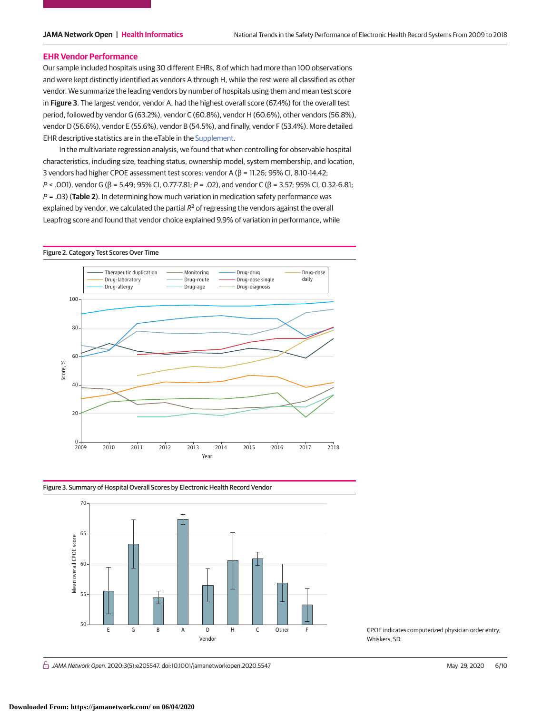#### **EHR Vendor Performance**

Our sample included hospitals using 30 different EHRs, 8 of which had more than 100 observations and were kept distinctly identified as vendors A through H, while the rest were all classified as other vendor. We summarize the leading vendors by number of hospitals using them and mean test score in **Figure 3**. The largest vendor, vendor A, had the highest overall score (67.4%) for the overall test period, followed by vendor G (63.2%), vendor C (60.8%), vendor H (60.6%), other vendors (56.8%), vendor D (56.6%), vendor E (55.6%), vendor B (54.5%), and finally, vendor F (53.4%). More detailed EHR descriptive statistics are in the eTable in the [Supplement.](https://jama.jamanetwork.com/article.aspx?doi=10.1001/jamanetworkopen.2020.5547&utm_campaign=articlePDF%26utm_medium=articlePDFlink%26utm_source=articlePDF%26utm_content=jamanetworkopen.2020.5547)

In the multivariate regression analysis, we found that when controlling for observable hospital characteristics, including size, teaching status, ownership model, system membership, and location, 3 vendors had higher CPOE assessment test scores: vendor A (β = 11.26; 95% CI, 8.10-14.42; P < .001), vendor G (β = 5.49; 95% CI, 0.77-7.81; P = .02), and vendor C (β = 3.57; 95% CI, 0.32-6.81; P = .03) (**Table 2**). In determining how much variation in medication safety performance was explained by vendor, we calculated the partial  $R^2$  of regressing the vendors against the overall Leapfrog score and found that vendor choice explained 9.9% of variation in performance, while

# Figure 2. Category Test Scores Over Time







 $\bigcap$  JAMA Network Open. 2020;3(5):e205547. doi:10.1001/jamanetworkopen.2020.5547 (Reprinted) May 29, 2020 6/10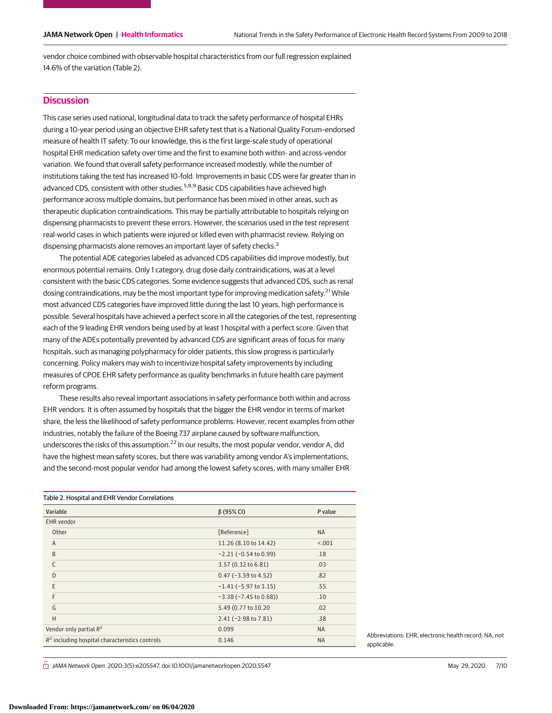vendor choice combined with observable hospital characteristics from our full regression explained 14.6% of the variation (Table 2).

# **Discussion**

This case series used national, longitudinal data to track the safety performance of hospital EHRs during a 10-year period using an objective EHR safety test that is a National Quality Forum–endorsed measure of health IT safety. To our knowledge, this is the first large-scale study of operational hospital EHR medication safety over time and the first to examine both within- and across-vendor variation. We found that overall safety performance increased modestly, while the number of institutions taking the test has increased 10-fold. Improvements in basic CDS were far greater than in advanced CDS, consistent with other studies.<sup>5,8,9</sup> Basic CDS capabilities have achieved high performance across multiple domains, but performance has been mixed in other areas, such as therapeutic duplication contraindications. This may be partially attributable to hospitals relying on dispensing pharmacists to prevent these errors. However, the scenarios used in the test represent real-world cases in which patients were injured or killed even with pharmacist review. Relying on dispensing pharmacists alone removes an important layer of safety checks.<sup>3</sup>

The potential ADE categories labeled as advanced CDS capabilities did improve modestly, but enormous potential remains. Only 1 category, drug dose daily contraindications, was at a level consistent with the basic CDS categories. Some evidence suggests that advanced CDS, such as renal dosing contraindications, may be the most important type for improving medication safety.<sup>21</sup> While most advanced CDS categories have improved little during the last 10 years, high performance is possible. Several hospitals have achieved a perfect score in all the categories of the test, representing each of the 9 leading EHR vendors being used by at least 1 hospital with a perfect score. Given that many of the ADEs potentially prevented by advanced CDS are significant areas of focus for many hospitals, such as managing polypharmacy for older patients, this slow progress is particularly concerning. Policy makers may wish to incentivize hospital safety improvements by including measures of CPOE EHR safety performance as quality benchmarks in future health care payment reform programs.

These results also reveal important associations in safety performance both within and across EHR vendors. It is often assumed by hospitals that the bigger the EHR vendor in terms of market share, the less the likelihood of safety performance problems. However, recent examples from other industries, notably the failure of the Boeing 737 airplane caused by software malfunction, underscores the risks of this assumption.<sup>22</sup> In our results, the most popular vendor, vendor A, did have the highest mean safety scores, but there was variability among vendor A's implementations, and the second-most popular vendor had among the lowest safety scores, with many smaller EHR

#### Table 2. Hospital and EHR Vendor Correlations

| Variable                                         | $\beta$ (95% CI)                 | P value   |
|--------------------------------------------------|----------------------------------|-----------|
| <b>EHR</b> vendor                                |                                  |           |
| Other                                            | [Reference]                      | <b>NA</b> |
| $\overline{A}$                                   | 11.26 (8.10 to 14.42)            | < .001    |
| B                                                | $-2.21(-0.54 \text{ to } 0.99)$  | .18       |
| C                                                | 3.57 (0.32 to 6.81)              | .03       |
| D                                                | $0.47$ (-3.59 to 4.52)           | .82       |
| E                                                | $-1.41$ ( $-5.97$ to 3.15)       | .55       |
| F                                                | $-3.38(-7.45 \text{ to } 0.68))$ | .10       |
| G                                                | 5.49 (0.77 to 10.20)             | .02       |
| H                                                | 2.41 (-2.98 to 7.81)             | .38       |
| Vendor only partial $R^2$                        | 0.099                            | <b>NA</b> |
| $R2$ including hospital characteristics controls | 0.146                            | <b>NA</b> |

Abbreviations: EHR, electronic health record; NA, not applicable.

 $\stackrel{\frown}{\Pi}$  JAMA Network Open. 2020;3(5):e205547. doi:10.1001/jamanetworkopen.2020.5547 (Reprinted) May 29, 2020 7/10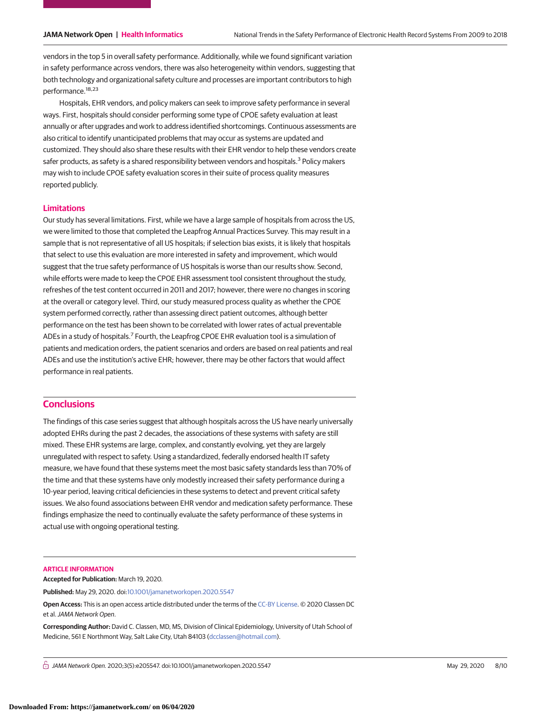vendors in the top 5 in overall safety performance. Additionally, while we found significant variation in safety performance across vendors, there was also heterogeneity within vendors, suggesting that both technology and organizational safety culture and processes are important contributors to high performance.18,23

Hospitals, EHR vendors, and policy makers can seek to improve safety performance in several ways. First, hospitals should consider performing some type of CPOE safety evaluation at least annually or after upgrades and work to address identified shortcomings. Continuous assessments are also critical to identify unanticipated problems that may occur as systems are updated and customized. They should also share these results with their EHR vendor to help these vendors create safer products, as safety is a shared responsibility between vendors and hospitals.<sup>3</sup> Policy makers may wish to include CPOE safety evaluation scores in their suite of process quality measures reported publicly.

### **Limitations**

Our study has several limitations. First, while we have a large sample of hospitals from across the US, we were limited to those that completed the Leapfrog Annual Practices Survey. This may result in a sample that is not representative of all US hospitals; if selection bias exists, it is likely that hospitals that select to use this evaluation are more interested in safety and improvement, which would suggest that the true safety performance of US hospitals is worse than our results show. Second, while efforts were made to keep the CPOE EHR assessment tool consistent throughout the study, refreshes of the test content occurred in 2011 and 2017; however, there were no changes in scoring at the overall or category level. Third, our study measured process quality as whether the CPOE system performed correctly, rather than assessing direct patient outcomes, although better performance on the test has been shown to be correlated with lower rates of actual preventable ADEs in a study of hospitals.<sup>7</sup> Fourth, the Leapfrog CPOE EHR evaluation tool is a simulation of patients and medication orders, the patient scenarios and orders are based on real patients and real ADEs and use the institution's active EHR; however, there may be other factors that would affect performance in real patients.

# **Conclusions**

The findings of this case series suggest that although hospitals across the US have nearly universally adopted EHRs during the past 2 decades, the associations of these systems with safety are still mixed. These EHR systems are large, complex, and constantly evolving, yet they are largely unregulated with respect to safety. Using a standardized, federally endorsed health IT safety measure, we have found that these systems meet the most basic safety standards less than 70% of the time and that these systems have only modestly increased their safety performance during a 10-year period, leaving critical deficiencies in these systems to detect and prevent critical safety issues. We also found associations between EHR vendor and medication safety performance. These findings emphasize the need to continually evaluate the safety performance of these systems in actual use with ongoing operational testing.

#### **ARTICLE INFORMATION**

**Accepted for Publication:** March 19, 2020.

**Published:** May 29, 2020. doi[:10.1001/jamanetworkopen.2020.5547](https://jama.jamanetwork.com/article.aspx?doi=10.1001/jamanetworkopen.2020.5547&utm_campaign=articlePDF%26utm_medium=articlePDFlink%26utm_source=articlePDF%26utm_content=jamanetworkopen.2020.5547)

**Open Access:** This is an open access article distributed under the terms of the [CC-BY License.](https://jamanetwork.com/journals/jamanetworkopen/pages/instructions-for-authors#SecOpenAccess/?utm_campaign=articlePDF%26utm_medium=articlePDFlink%26utm_source=articlePDF%26utm_content=jamanetworkopen.2020.5547) © 2020 Classen DC et al.JAMA Network Open.

**Corresponding Author:** David C. Classen, MD, MS, Division of Clinical Epidemiology, University of Utah School of Medicine, 561 E Northmont Way, Salt Lake City, Utah 84103 [\(dcclassen@hotmail.com\)](mailto:dcclassen@hotmail.com).

 $\bigcap$  JAMA Network Open. 2020;3(5):e205547. doi:10.1001/jamanetworkopen.2020.5547 (Reprinted) May 29, 2020 8/10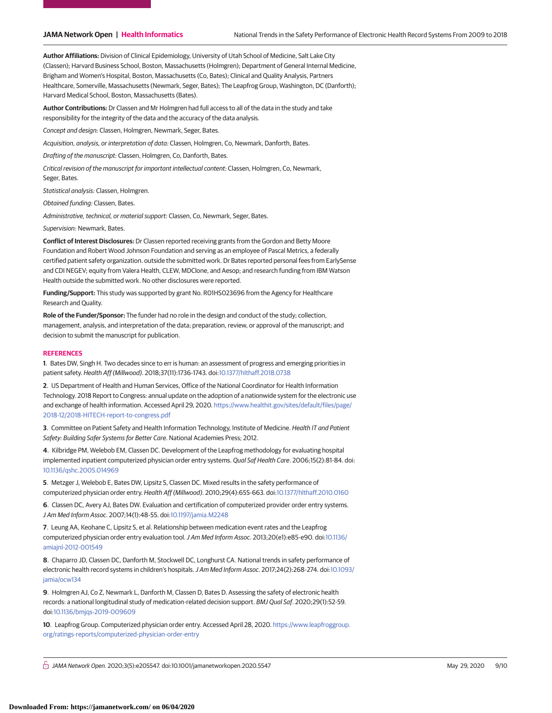**Author Affiliations:** Division of Clinical Epidemiology, University of Utah School of Medicine, Salt Lake City (Classen); Harvard Business School, Boston, Massachusetts (Holmgren); Department of General Internal Medicine, Brigham and Women's Hospital, Boston, Massachusetts (Co, Bates); Clinical and Quality Analysis, Partners Healthcare, Somerville, Massachusetts (Newmark, Seger, Bates); The Leapfrog Group, Washington, DC (Danforth); Harvard Medical School, Boston, Massachusetts (Bates).

**Author Contributions:** Dr Classen and Mr Holmgren had full access to all of the data in the study and take responsibility for the integrity of the data and the accuracy of the data analysis.

Concept and design: Classen, Holmgren, Newmark, Seger, Bates.

Acquisition, analysis, or interpretation of data: Classen, Holmgren, Co, Newmark, Danforth, Bates.

Drafting of the manuscript: Classen, Holmgren, Co, Danforth, Bates.

Critical revision of the manuscript for important intellectual content: Classen, Holmgren, Co, Newmark, Seger, Bates.

Statistical analysis: Classen, Holmgren.

Obtained funding: Classen, Bates.

Administrative, technical, or material support: Classen, Co, Newmark, Seger, Bates.

Supervision: Newmark, Bates.

**Conflict of Interest Disclosures:** Dr Classen reported receiving grants from the Gordon and Betty Moore Foundation and Robert Wood Johnson Foundation and serving as an employee of Pascal Metrics, a federally certified patient safety organization. outside the submitted work. Dr Bates reported personal fees from EarlySense and CDI NEGEV; equity from Valera Health, CLEW, MDClone, and Aesop; and research funding from IBM Watson Health outside the submitted work. No other disclosures were reported.

**Funding/Support:** This study was supported by grant No. R01HS023696 from the Agency for Healthcare Research and Quality.

**Role of the Funder/Sponsor:** The funder had no role in the design and conduct of the study; collection, management, analysis, and interpretation of the data; preparation, review, or approval of the manuscript; and decision to submit the manuscript for publication.

#### **REFERENCES**

**1**. Bates DW, Singh H. Two decades since to err is human: an assessment of progress and emerging priorities in patient safety. Health Aff (Millwood). 2018;37(11):1736-1743. doi[:10.1377/hlthaff.2018.0738](https://dx.doi.org/10.1377/hlthaff.2018.0738)

**2**. US Department of Health and Human Services, Office of the National Coordinator for Health Information Technology. 2018 Report to Congress: annual update on the adoption of a nationwide system for the electronic use and exchange of health information. Accessed April 29, 2020. [https://www.healthit.gov/sites/default/files/page/](https://www.healthit.gov/sites/default/files/page/2018-12/2018-HITECH-report-to-congress.pdf) [2018-12/2018-HITECH-report-to-congress.pdf](https://www.healthit.gov/sites/default/files/page/2018-12/2018-HITECH-report-to-congress.pdf)

**3**. Committee on Patient Safety and Health Information Technology, Institute of Medicine. Health IT and Patient Safety: Building Safer Systems for Better Care. National Academies Press; 2012.

**4**. Kilbridge PM, Welebob EM, Classen DC. Development of the Leapfrog methodology for evaluating hospital implemented inpatient computerized physician order entry systems. Qual Saf Health Care. 2006;15(2):81-84. doi: [10.1136/qshc.2005.014969](https://dx.doi.org/10.1136/qshc.2005.014969)

**5**. Metzger J, Welebob E, Bates DW, Lipsitz S, Classen DC. Mixed results in the safety performance of computerized physician order entry. Health Aff (Millwood). 2010;29(4):655-663. doi[:10.1377/hlthaff.2010.0160](https://dx.doi.org/10.1377/hlthaff.2010.0160)

**6**. Classen DC, Avery AJ, Bates DW. Evaluation and certification of computerized provider order entry systems. J Am Med Inform Assoc. 2007;14(1):48-55. doi[:10.1197/jamia.M2248](https://dx.doi.org/10.1197/jamia.M2248)

**7**. Leung AA, Keohane C, Lipsitz S, et al. Relationship between medication event rates and the Leapfrog computerized physician order entry evaluation tool.J Am Med Inform Assoc. 2013;20(e1):e85-e90. doi[:10.1136/](https://dx.doi.org/10.1136/amiajnl-2012-001549) [amiajnl-2012-001549](https://dx.doi.org/10.1136/amiajnl-2012-001549)

**8**. Chaparro JD, Classen DC, Danforth M, Stockwell DC, Longhurst CA. National trends in safety performance of electronic health record systems in children's hospitals.J Am Med Inform Assoc. 2017;24(2):268-274. doi[:10.1093/](https://dx.doi.org/10.1093/jamia/ocw134) iamia/ocw134

**9**. Holmgren AJ, Co Z, Newmark L, Danforth M, Classen D, Bates D. Assessing the safety of electronic health records: a national longitudinal study of medication-related decision support. BMJ Qual Saf. 2020;29(1):52-59. doi[:10.1136/bmjqs-2019-009609](https://dx.doi.org/10.1136/bmjqs-2019-009609)

**10**. Leapfrog Group. Computerized physician order entry. Accessed April 28, 2020. [https://www.leapfroggroup.](https://www.leapfroggroup.org/ratings-reports/computerized-physician-order-entry) [org/ratings-reports/computerized-physician-order-entry](https://www.leapfroggroup.org/ratings-reports/computerized-physician-order-entry)

 $\bigcap$  JAMA Network Open. 2020;3(5):e205547. doi:10.1001/jamanetworkopen.2020.5547 (Reprinted) May 29, 2020 9/10